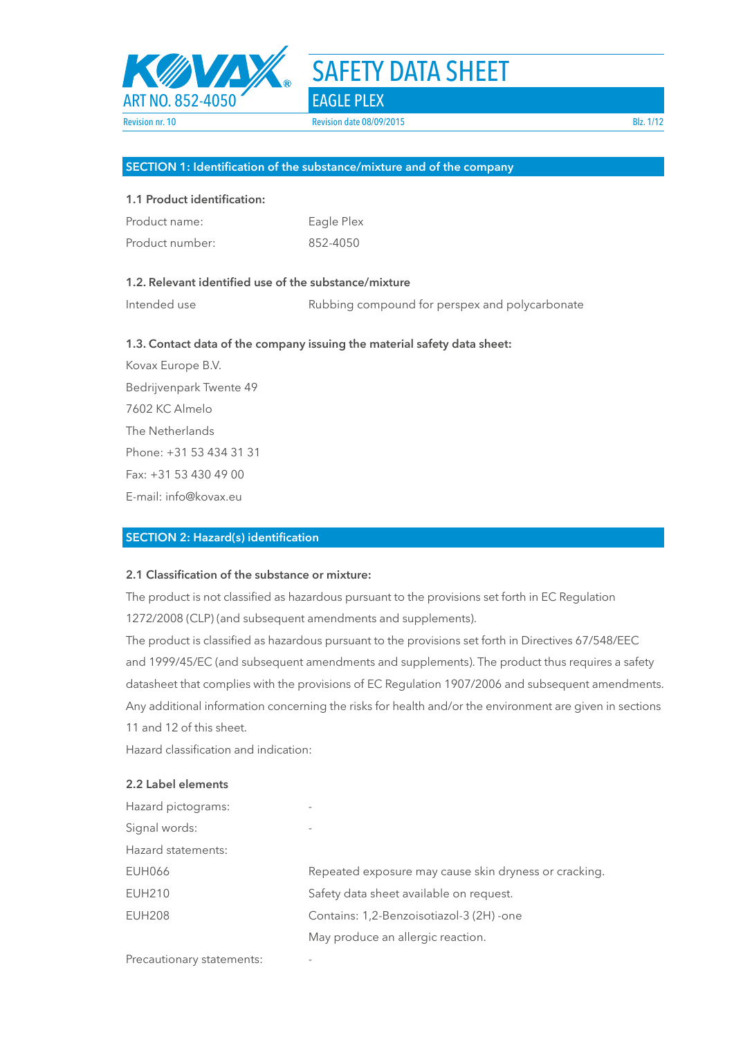

#### **SECTION 1: Identification of the substance/mixture and of the company**

#### **1.1 Product identification:**

| Product name:   | Eagle Plex |
|-----------------|------------|
| Product number: | 852-4050   |

# **1.2. Relevant identified use of the substance/mixture**

Intended use The Rubbing compound for perspex and polycarbonate

#### **1.3. Contact data of the company issuing the material safety data sheet:**

Kovax Europe B.V. Bedrijvenpark Twente 49 7602 KC Almelo The Netherlands Phone: +31 53 434 31 31 Fax: +31 53 430 49 00 E-mail: info@kovax.eu

#### **SECTION 2: Hazard(s) identification**

# **2.1 Classification of the substance or mixture:**

The product is not classified as hazardous pursuant to the provisions set forth in EC Regulation 1272/2008 (CLP) (and subsequent amendments and supplements).

The product is classified as hazardous pursuant to the provisions set forth in Directives 67/548/EEC and 1999/45/EC (and subsequent amendments and supplements). The product thus requires a safety datasheet that complies with the provisions of EC Regulation 1907/2006 and subsequent amendments. Any additional information concerning the risks for health and/or the environment are given in sections 11 and 12 of this sheet.

Hazard classification and indication:

#### **2.2 Label elements**

| ۰                                                     |
|-------------------------------------------------------|
| $\overline{\phantom{a}}$                              |
|                                                       |
| Repeated exposure may cause skin dryness or cracking. |
| Safety data sheet available on request.               |
| Contains: 1,2-Benzoisotiazol-3 (2H) -one              |
| May produce an allergic reaction.                     |
|                                                       |

Precautionary statements: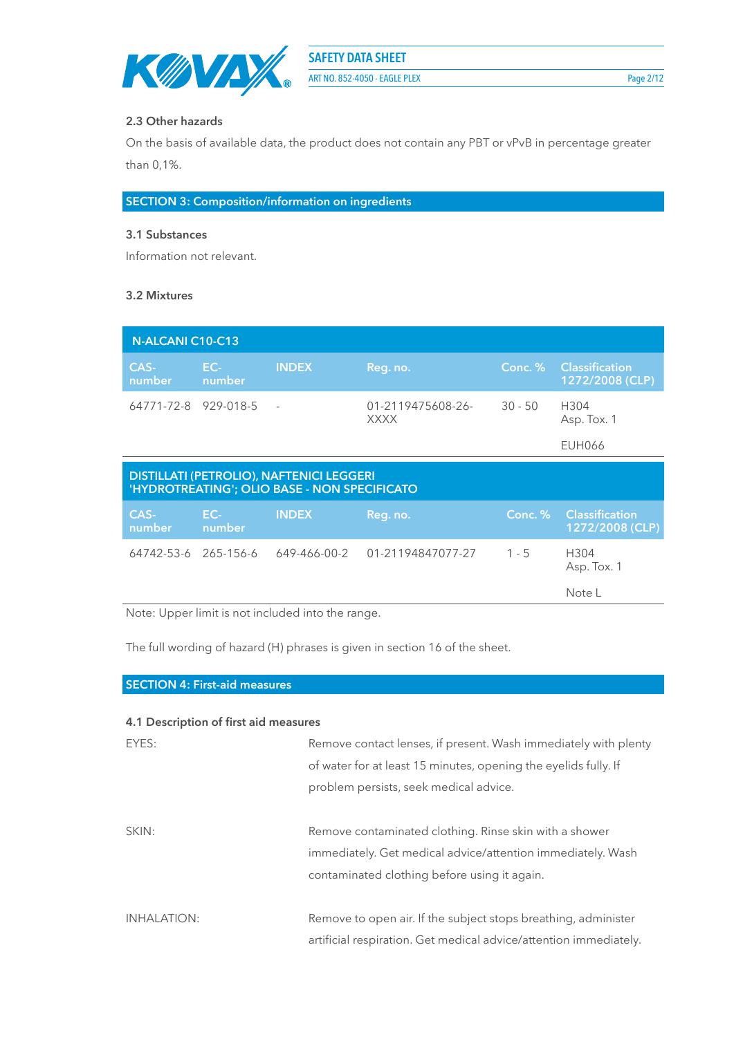

ART NO. 852-4050 - EAGLE PLEX Page 2/12

#### **2.3 Other hazards**

On the basis of available data, the product does not contain any PBT or vPvB in percentage greater than 0,1%.

**SECTION 3: Composition/information on ingredients**

#### **3.1 Substances**

Information not relevant.

#### **3.2 Mixtures**

| N-ALCANI C10-C13                                                                                |               |              |                                  |           |                                          |
|-------------------------------------------------------------------------------------------------|---------------|--------------|----------------------------------|-----------|------------------------------------------|
| CAS-<br>number                                                                                  | EC-<br>number | <b>INDEX</b> | Reg. no.                         | Conc. %   | <b>Classification</b><br>1272/2008 (CLP) |
| 64771-72-8 929-018-5                                                                            |               |              | 01-2119475608-26-<br><b>XXXX</b> | $30 - 50$ | H304<br>Asp. Tox. 1                      |
|                                                                                                 |               |              |                                  |           | <b>EUH066</b>                            |
| <b>DISTILLATI (PETROLIO), NAFTENICI LEGGERI</b><br>'HYDROTREATING'; OLIO BASE - NON SPECIFICATO |               |              |                                  |           |                                          |
| CAS-<br>number                                                                                  | EC-<br>number | <b>INDEX</b> | Reg. no.                         | Conc. %   | <b>Classification</b><br>1272/2008 (CLP) |
| 64742-53-6 265-156-6                                                                            |               | 649-466-00-2 | 01-21194847077-27                | $1 - 5$   | H304<br>Asp. Tox. 1                      |
|                                                                                                 |               |              |                                  |           | Note L                                   |

Note: Upper limit is not included into the range.

The full wording of hazard (H) phrases is given in section 16 of the sheet.

#### **SECTION 4: First-aid measures**

#### **4.1 Description of first aid measures**

| EYES:              | Remove contact lenses, if present. Wash immediately with plenty   |
|--------------------|-------------------------------------------------------------------|
|                    | of water for at least 15 minutes, opening the eyelids fully. If   |
|                    | problem persists, seek medical advice.                            |
|                    |                                                                   |
| SKIN:              | Remove contaminated clothing. Rinse skin with a shower            |
|                    | immediately. Get medical advice/attention immediately. Wash       |
|                    | contaminated clothing before using it again.                      |
|                    |                                                                   |
| <b>INHALATION:</b> | Remove to open air. If the subject stops breathing, administer    |
|                    | artificial respiration. Get medical advice/attention immediately. |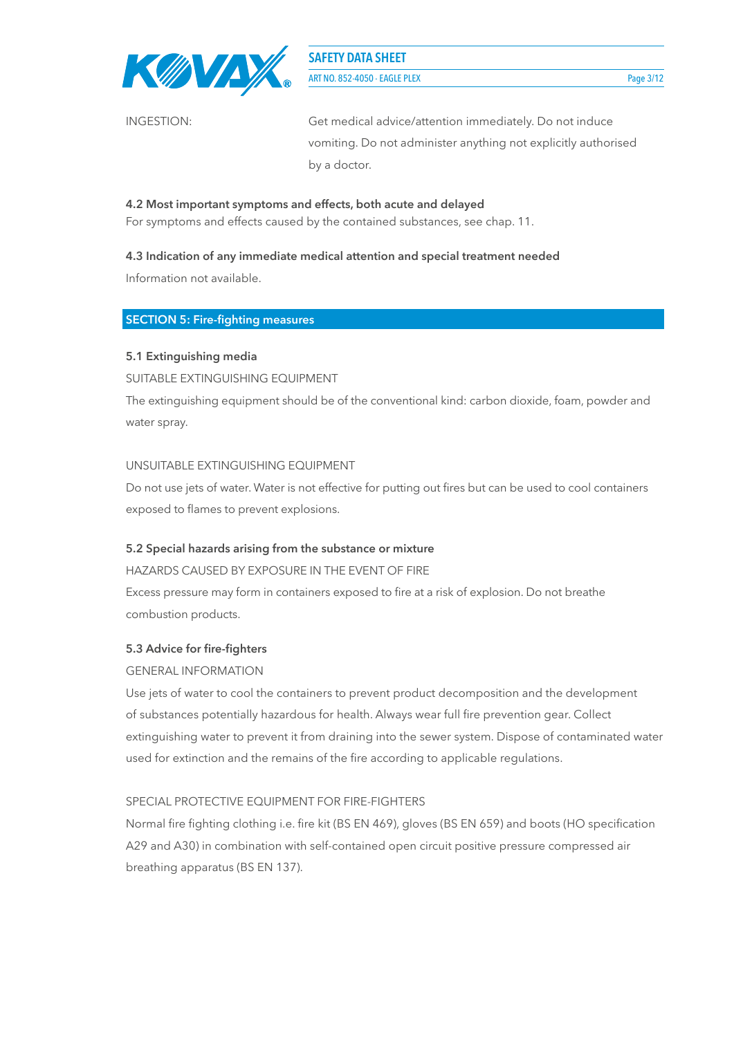

ART NO. 852-4050 - EAGLE PLEX Page 3/12

INGESTION: Get medical advice/attention immediately. Do not induce vomiting. Do not administer anything not explicitly authorised by a doctor.

# **4.2 Most important symptoms and effects, both acute and delayed**

For symptoms and effects caused by the contained substances, see chap. 11.

# **4.3 Indication of any immediate medical attention and special treatment needed**

Information not available.

# **SECTION 5: Fire-fighting measures**

# **5.1 Extinguishing media**

SUITABLE EXTINGUISHING EQUIPMENT

The extinguishing equipment should be of the conventional kind: carbon dioxide, foam, powder and water spray.

# UNSUITABLE EXTINGUISHING EQUIPMENT

Do not use jets of water. Water is not effective for putting out fires but can be used to cool containers exposed to flames to prevent explosions.

# **5.2 Special hazards arising from the substance or mixture**

HAZARDS CAUSED BY EXPOSURE IN THE EVENT OF FIRE

Excess pressure may form in containers exposed to fire at a risk of explosion. Do not breathe combustion products.

# **5.3 Advice for fire-fighters**

# GENERAL INFORMATION

Use jets of water to cool the containers to prevent product decomposition and the development of substances potentially hazardous for health. Always wear full fire prevention gear. Collect extinguishing water to prevent it from draining into the sewer system. Dispose of contaminated water used for extinction and the remains of the fire according to applicable regulations.

# SPECIAL PROTECTIVE EQUIPMENT FOR FIRE-FIGHTERS

Normal fire fighting clothing i.e. fire kit (BS EN 469), gloves (BS EN 659) and boots (HO specification A29 and A30) in combination with self-contained open circuit positive pressure compressed air breathing apparatus (BS EN 137).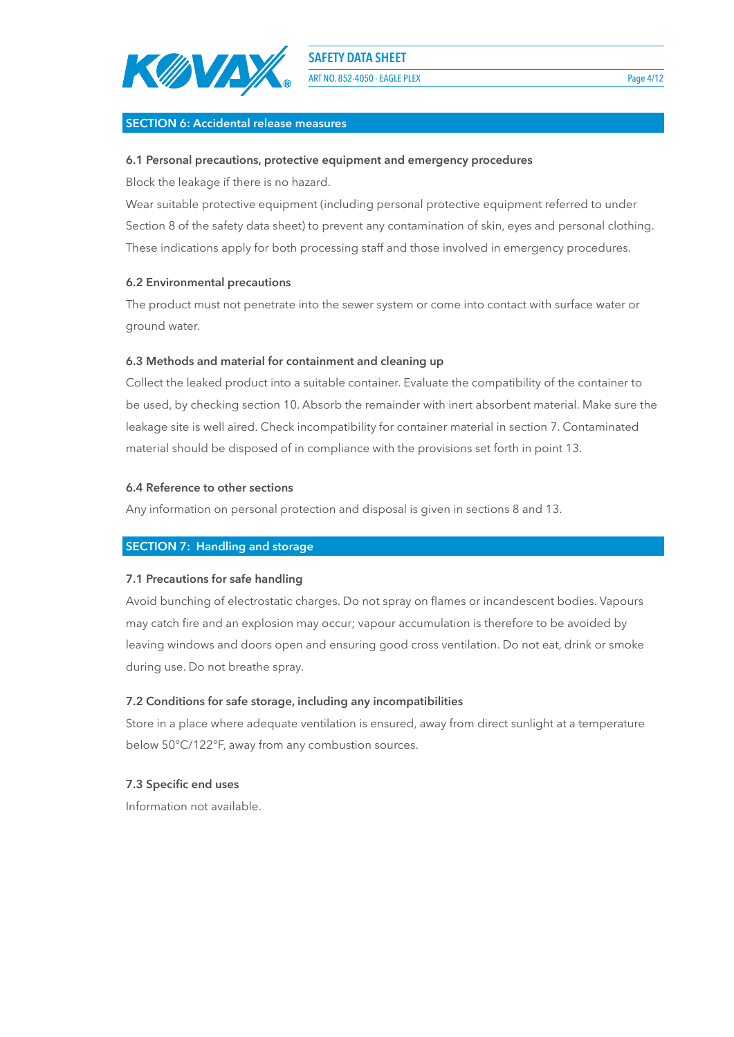

ART NO. 852-4050 - EAGLE PLEX Page 4/12

#### **SECTION 6: Accidental release measures**

#### **6.1 Personal precautions, protective equipment and emergency procedures**

Block the leakage if there is no hazard.

Wear suitable protective equipment (including personal protective equipment referred to under Section 8 of the safety data sheet) to prevent any contamination of skin, eyes and personal clothing. These indications apply for both processing staff and those involved in emergency procedures.

#### **6.2 Environmental precautions**

The product must not penetrate into the sewer system or come into contact with surface water or ground water.

#### **6.3 Methods and material for containment and cleaning up**

Collect the leaked product into a suitable container. Evaluate the compatibility of the container to be used, by checking section 10. Absorb the remainder with inert absorbent material. Make sure the leakage site is well aired. Check incompatibility for container material in section 7. Contaminated material should be disposed of in compliance with the provisions set forth in point 13.

#### **6.4 Reference to other sections**

Any information on personal protection and disposal is given in sections 8 and 13.

# **SECTION 7: Handling and storage**

#### **7.1 Precautions for safe handling**

Avoid bunching of electrostatic charges. Do not spray on flames or incandescent bodies. Vapours may catch fire and an explosion may occur; vapour accumulation is therefore to be avoided by leaving windows and doors open and ensuring good cross ventilation. Do not eat, drink or smoke during use. Do not breathe spray.

# **7.2 Conditions for safe storage, including any incompatibilities**

Store in a place where adequate ventilation is ensured, away from direct sunlight at a temperature below 50°C/122°F, away from any combustion sources.

#### **7.3 Specific end uses**

Information not available.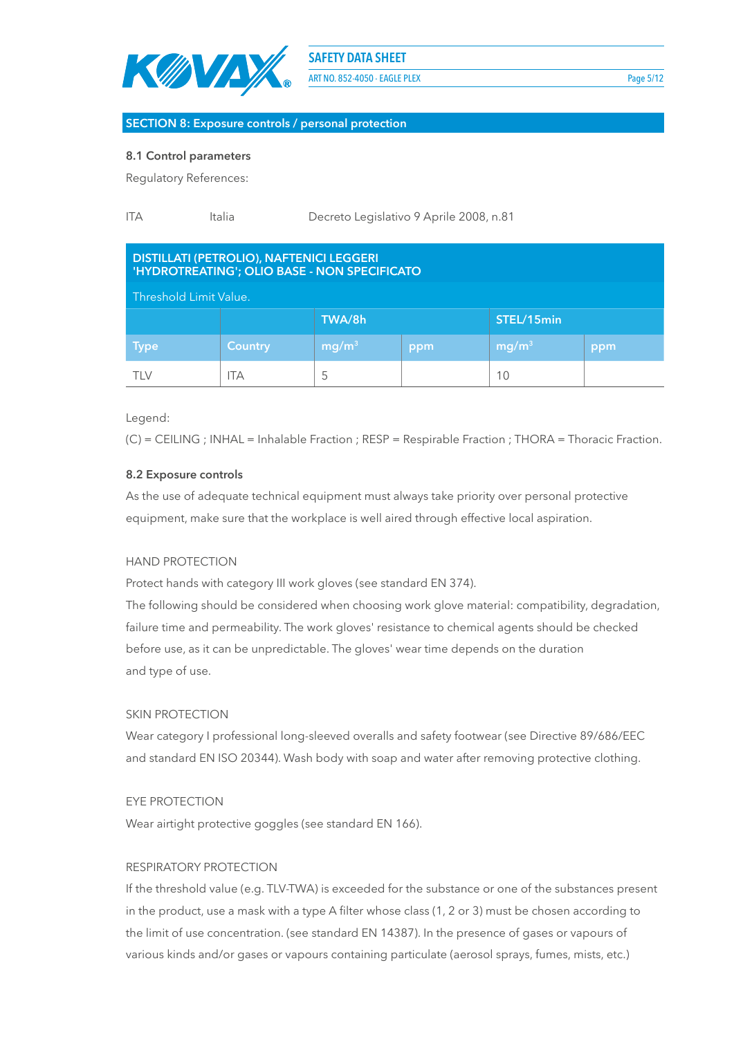

ART NO. 852-4050 - EAGLE PLEX Page 5/12

#### **SECTION 8: Exposure controls / personal protection**

#### **8.1 Control parameters**

Regulatory References:

| <b>ITA</b> | Italia | Decreto Legislativo 9 Aprile 2008, n.81 |
|------------|--------|-----------------------------------------|
|------------|--------|-----------------------------------------|

# **DISTILLATI (PETROLIO), NAFTENICI LEGGERI 'HYDROTREATING'; OLIO BASE - NON SPECIFICATO**

Threshold Limit Value.

| - Threshold Limit Value. |                |                          |     |                   |     |
|--------------------------|----------------|--------------------------|-----|-------------------|-----|
|                          | TWA/8h         |                          |     |                   |     |
| <b>Type</b>              | <b>Country</b> | $\lfloor mg/m^3 \rfloor$ | ppm | mg/m <sup>3</sup> | ppm |
| TLV                      | ТA             |                          |     | 10                |     |

Legend:

(C) = CEILING ; INHAL = Inhalable Fraction ; RESP = Respirable Fraction ; THORA = Thoracic Fraction.

#### **8.2 Exposure controls**

As the use of adequate technical equipment must always take priority over personal protective equipment, make sure that the workplace is well aired through effective local aspiration.

#### HAND PROTECTION

Protect hands with category III work gloves (see standard EN 374).

The following should be considered when choosing work glove material: compatibility, degradation, failure time and permeability. The work gloves' resistance to chemical agents should be checked before use, as it can be unpredictable. The gloves' wear time depends on the duration and type of use.

#### SKIN PROTECTION

Wear category I professional long-sleeved overalls and safety footwear (see Directive 89/686/EEC and standard EN ISO 20344). Wash body with soap and water after removing protective clothing.

#### EYE PROTECTION

Wear airtight protective goggles (see standard EN 166).

# RESPIRATORY PROTECTION

If the threshold value (e.g. TLV-TWA) is exceeded for the substance or one of the substances present in the product, use a mask with a type A filter whose class (1, 2 or 3) must be chosen according to the limit of use concentration. (see standard EN 14387). In the presence of gases or vapours of various kinds and/or gases or vapours containing particulate (aerosol sprays, fumes, mists, etc.)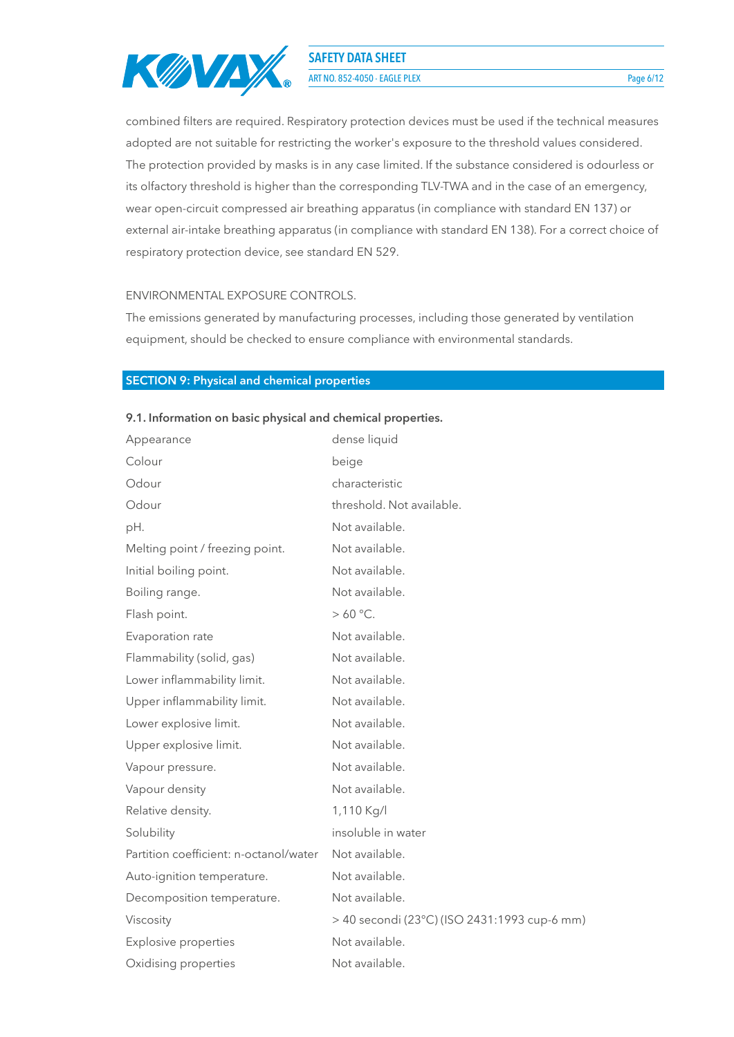

**ART NO. 852-4050 - EAGLE PLEX** Page 6/12

combined filters are required. Respiratory protection devices must be used if the technical measures adopted are not suitable for restricting the worker's exposure to the threshold values considered. The protection provided by masks is in any case limited. If the substance considered is odourless or its olfactory threshold is higher than the corresponding TLV-TWA and in the case of an emergency, wear open-circuit compressed air breathing apparatus (in compliance with standard EN 137) or external air-intake breathing apparatus (in compliance with standard EN 138). For a correct choice of respiratory protection device, see standard EN 529.

#### ENVIRONMENTAL EXPOSURE CONTROLS.

The emissions generated by manufacturing processes, including those generated by ventilation equipment, should be checked to ensure compliance with environmental standards.

# **SECTION 9: Physical and chemical properties**

| Appearance                             | dense liquid                                 |
|----------------------------------------|----------------------------------------------|
| Colour                                 | beige                                        |
| Odour                                  | characteristic                               |
| Odour                                  | threshold. Not available.                    |
| pH.                                    | Not available.                               |
| Melting point / freezing point.        | Not available.                               |
| Initial boiling point.                 | Not available.                               |
| Boiling range.                         | Not available.                               |
| Flash point.                           | $>60^{\circ}$ C.                             |
| Evaporation rate                       | Not available.                               |
| Flammability (solid, gas)              | Not available.                               |
| Lower inflammability limit.            | Not available.                               |
| Upper inflammability limit.            | Not available.                               |
| Lower explosive limit.                 | Not available.                               |
| Upper explosive limit.                 | Not available.                               |
| Vapour pressure.                       | Not available.                               |
| Vapour density                         | Not available.                               |
| Relative density.                      | 1,110 Kg/l                                   |
| Solubility                             | insoluble in water                           |
| Partition coefficient: n-octanol/water | Not available.                               |
| Auto-ignition temperature.             | Not available.                               |
| Decomposition temperature.             | Not available.                               |
| Viscosity                              | > 40 secondi (23°C) (ISO 2431:1993 cup-6 mm) |
| <b>Explosive properties</b>            | Not available.                               |
| Oxidising properties                   | Not available.                               |
|                                        |                                              |

#### **9.1. Information on basic physical and chemical properties.**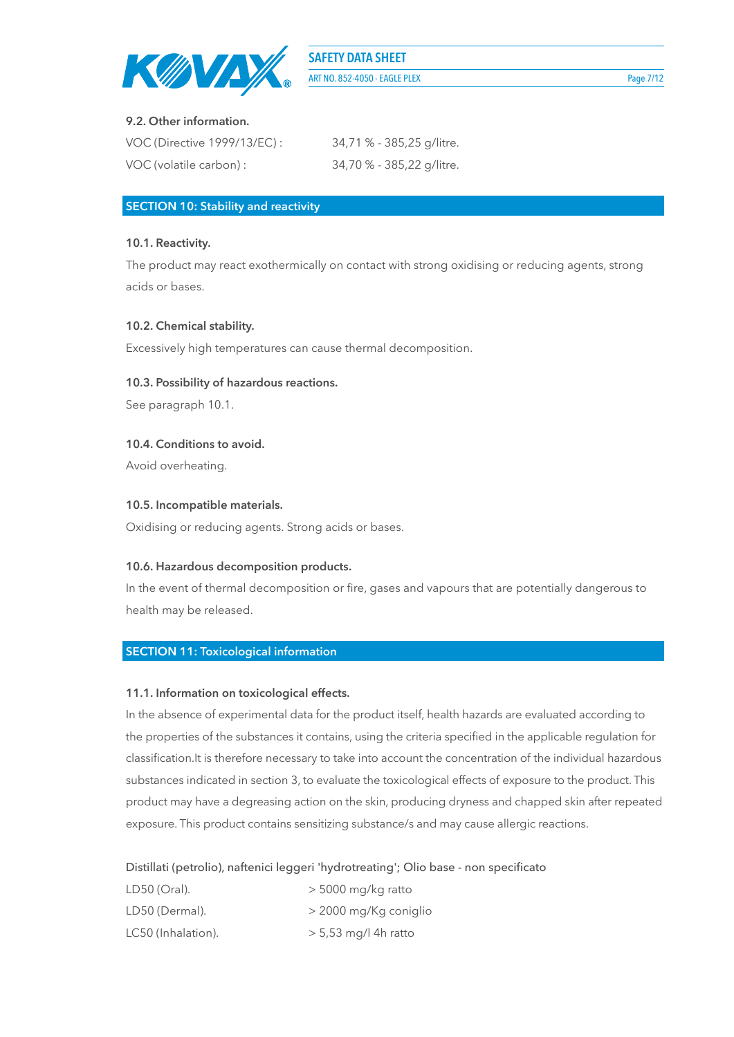

ART NO. 852-4050 - EAGLE PLEX Page 7/12

# **9.2. Other information.**

| VOC (Directive 1999/13/EC): | 34,71 % - 385,25 g/litre. |
|-----------------------------|---------------------------|
| VOC (volatile carbon) :     | 34,70 % - 385,22 g/litre. |

#### **SECTION 10: Stability and reactivity**

#### **10.1. Reactivity.**

The product may react exothermically on contact with strong oxidising or reducing agents, strong acids or bases.

# **10.2. Chemical stability.**

Excessively high temperatures can cause thermal decomposition.

#### **10.3. Possibility of hazardous reactions.**

See paragraph 10.1.

#### **10.4. Conditions to avoid.**

Avoid overheating.

#### **10.5. Incompatible materials.**

Oxidising or reducing agents. Strong acids or bases.

# **10.6. Hazardous decomposition products.**

In the event of thermal decomposition or fire, gases and vapours that are potentially dangerous to health may be released.

# **SECTION 11: Toxicological information**

#### **11.1. Information on toxicological effects.**

In the absence of experimental data for the product itself, health hazards are evaluated according to the properties of the substances it contains, using the criteria specified in the applicable regulation for classification.It is therefore necessary to take into account the concentration of the individual hazardous substances indicated in section 3, to evaluate the toxicological effects of exposure to the product. This product may have a degreasing action on the skin, producing dryness and chapped skin after repeated exposure. This product contains sensitizing substance/s and may cause allergic reactions.

Distillati (petrolio), naftenici leggeri 'hydrotreating'; Olio base - non specificato

| LD50 (Oral).       | $>$ 5000 mg/kg ratto   |
|--------------------|------------------------|
| LD50 (Dermal).     | > 2000 mg/Kg coniglio  |
| LC50 (Inhalation). | $> 5,53$ mg/l 4h ratto |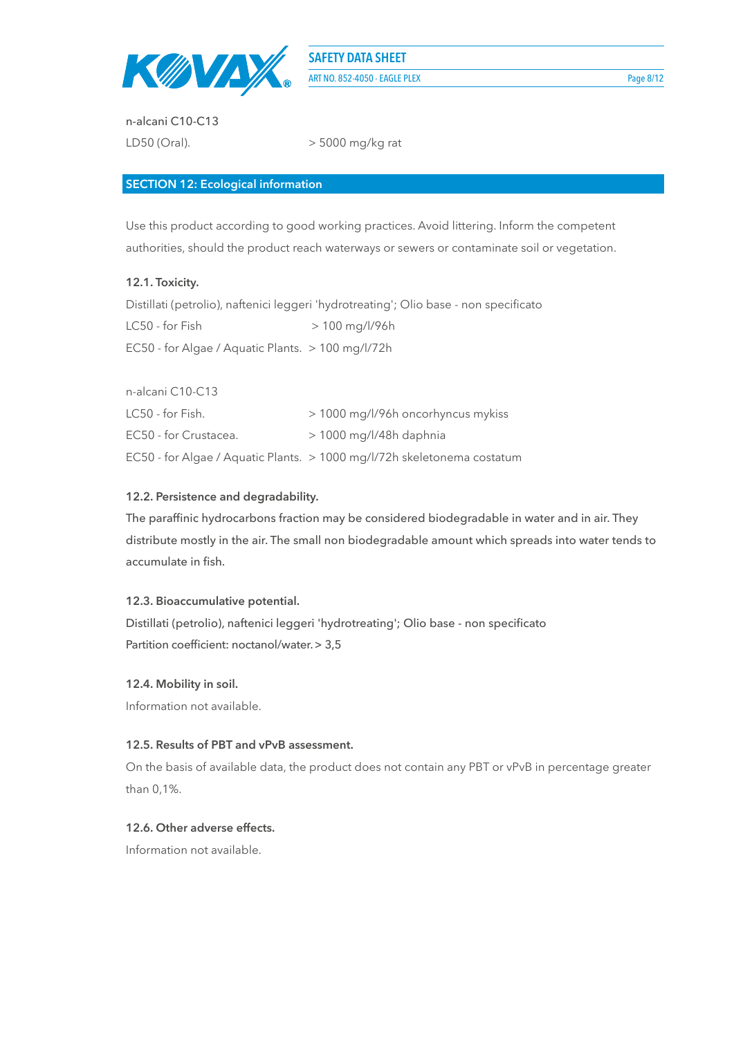

n-alcani C10-C13 LD50 (Oral).  $>$  5000 mg/kg rat

# **SECTION 12: Ecological information**

Use this product according to good working practices. Avoid littering. Inform the competent authorities, should the product reach waterways or sewers or contaminate soil or vegetation.

# **12.1. Toxicity.**

Distillati (petrolio), naftenici leggeri 'hydrotreating'; Olio base - non specificato  $LC50 - for Fish$   $> 100$  mg/l/96h EC50 - for Algae / Aquatic Plants. > 100 mg/l/72h

n-alcani C10-C13 LC50 - for Fish.  $> 1000$  mg/l/96h oncorhyncus mykiss EC50 - for Crustacea. > 1000 mg/l/48h daphnia EC50 - for Algae / Aquatic Plants. > 1000 mg/l/72h skeletonema costatum

# **12.2. Persistence and degradability.**

The paraffinic hydrocarbons fraction may be considered biodegradable in water and in air. They distribute mostly in the air. The small non biodegradable amount which spreads into water tends to accumulate in fish.

# **12.3. Bioaccumulative potential.**

Distillati (petrolio), naftenici leggeri 'hydrotreating'; Olio base - non specificato Partition coefficient: noctanol/water.> 3,5

# **12.4. Mobility in soil.**

Information not available.

# **12.5. Results of PBT and vPvB assessment.**

On the basis of available data, the product does not contain any PBT or vPvB in percentage greater than 0,1%.

# **12.6. Other adverse effects.**

Information not available.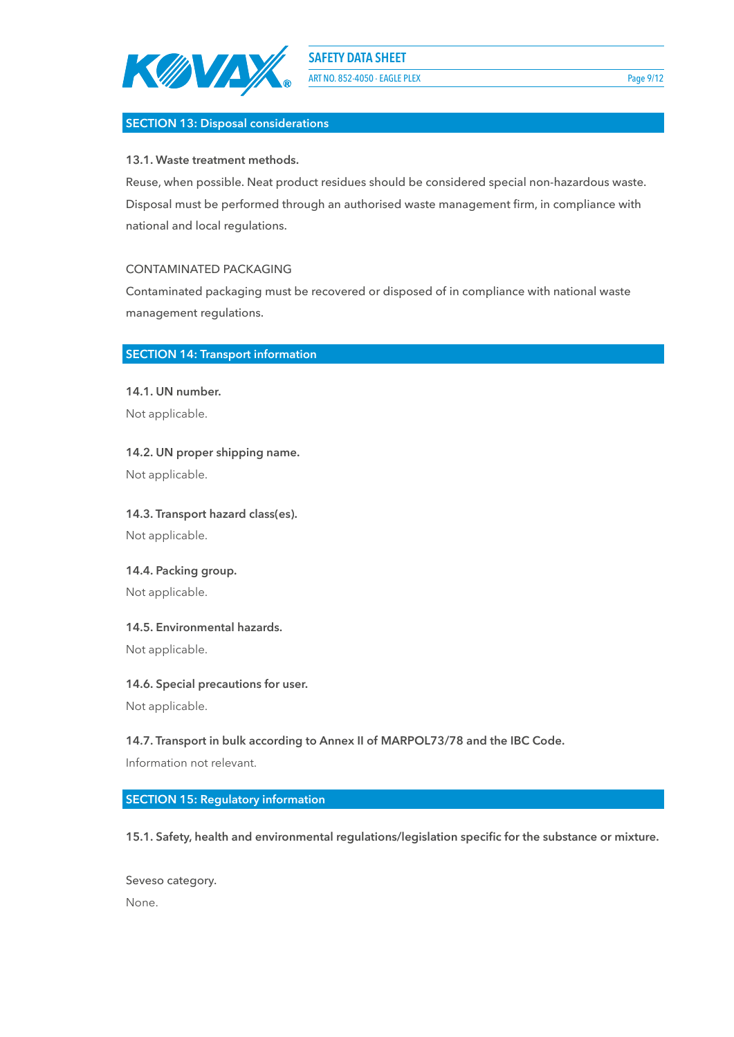

ART NO. 852-4050 - EAGLE PLEX Page 9/12

# **SECTION 13: Disposal considerations**

**13.1. Waste treatment methods.**

Reuse, when possible. Neat product residues should be considered special non-hazardous waste. Disposal must be performed through an authorised waste management firm, in compliance with national and local regulations.

#### CONTAMINATED PACKAGING

Contaminated packaging must be recovered or disposed of in compliance with national waste management regulations.

#### **SECTION 14: Transport information**

**14.1. UN number.** Not applicable.

**14.2. UN proper shipping name.**

Not applicable.

**14.3. Transport hazard class(es).** Not applicable.

**14.4. Packing group.** Not applicable.

**14.5. Environmental hazards.**

Not applicable.

**14.6. Special precautions for user.**

Not applicable.

**14.7. Transport in bulk according to Annex II of MARPOL73/78 and the IBC Code.**

Information not relevant.

**SECTION 15: Regulatory information**

**15.1. Safety, health and environmental regulations/legislation specific for the substance or mixture.**

Seveso category. None.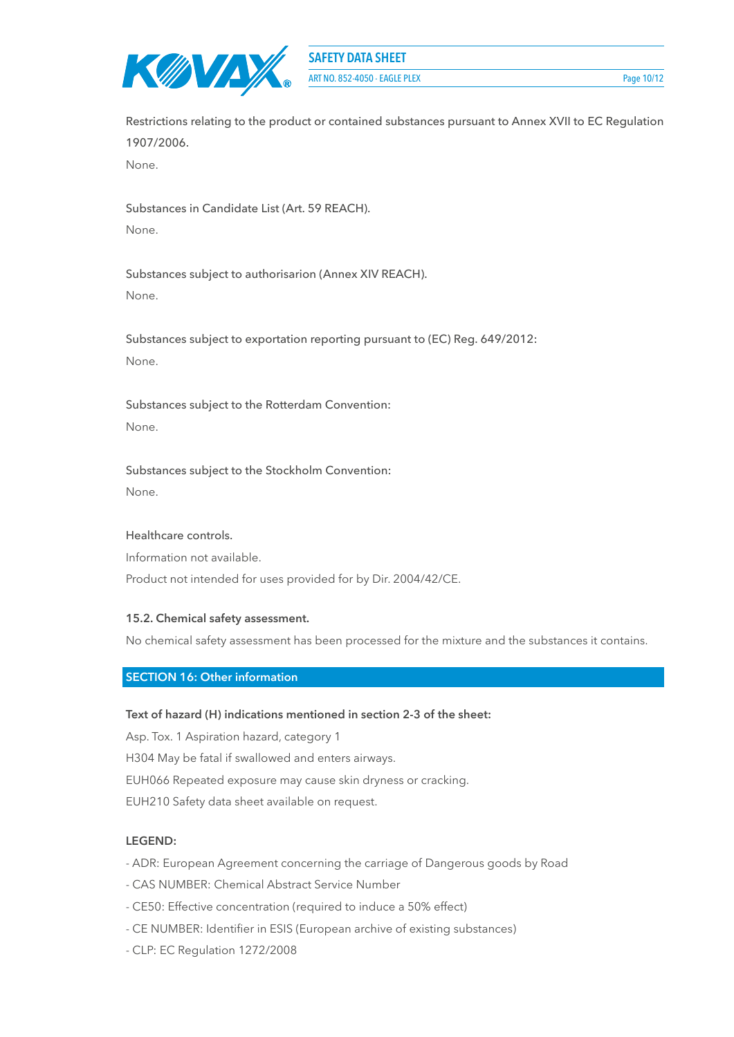

**ART NO. 852-4050 - EAGLE PLEX** Page 10/12

Restrictions relating to the product or contained substances pursuant to Annex XVII to EC Regulation 1907/2006.

None.

Substances in Candidate List (Art. 59 REACH). None.

Substances subject to authorisarion (Annex XIV REACH). None.

Substances subject to exportation reporting pursuant to (EC) Reg. 649/2012: None.

Substances subject to the Rotterdam Convention: None.

Substances subject to the Stockholm Convention: None.

# Healthcare controls.

Information not available.

Product not intended for uses provided for by Dir. 2004/42/CE.

# **15.2. Chemical safety assessment.**

No chemical safety assessment has been processed for the mixture and the substances it contains.

# **SECTION 16: Other information**

# **Text of hazard (H) indications mentioned in section 2-3 of the sheet:**

Asp. Tox. 1 Aspiration hazard, category 1 H304 May be fatal if swallowed and enters airways. EUH066 Repeated exposure may cause skin dryness or cracking. EUH210 Safety data sheet available on request.

# **LEGEND:**

- ADR: European Agreement concerning the carriage of Dangerous goods by Road

- CAS NUMBER: Chemical Abstract Service Number
- CE50: Effective concentration (required to induce a 50% effect)
- CE NUMBER: Identifier in ESIS (European archive of existing substances)
- CLP: EC Regulation 1272/2008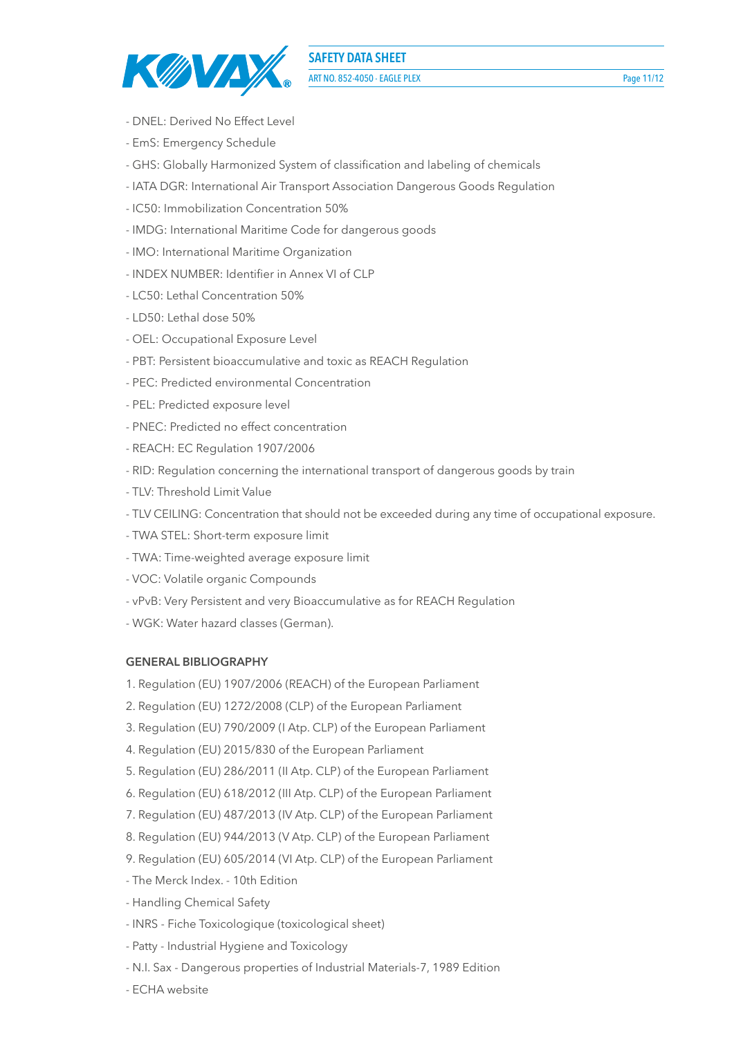

**ART NO. 852-4050 - EAGLE PLEX** Page 11/12

- DNEL: Derived No Effect Level
- EmS: Emergency Schedule
- GHS: Globally Harmonized System of classification and labeling of chemicals
- IATA DGR: International Air Transport Association Dangerous Goods Regulation
- IC50: Immobilization Concentration 50%
- IMDG: International Maritime Code for dangerous goods
- IMO: International Maritime Organization
- INDEX NUMBER: Identifier in Annex VI of CLP
- LC50: Lethal Concentration 50%
- LD50: Lethal dose 50%
- OEL: Occupational Exposure Level
- PBT: Persistent bioaccumulative and toxic as REACH Regulation
- PEC: Predicted environmental Concentration
- PEL: Predicted exposure level
- PNEC: Predicted no effect concentration
- REACH: EC Regulation 1907/2006
- RID: Regulation concerning the international transport of dangerous goods by train
- TLV: Threshold Limit Value
- TLV CEILING: Concentration that should not be exceeded during any time of occupational exposure.
- TWA STEL: Short-term exposure limit
- TWA: Time-weighted average exposure limit
- VOC: Volatile organic Compounds
- vPvB: Very Persistent and very Bioaccumulative as for REACH Regulation
- WGK: Water hazard classes (German).

# **GENERAL BIBLIOGRAPHY**

- 1. Regulation (EU) 1907/2006 (REACH) of the European Parliament
- 2. Regulation (EU) 1272/2008 (CLP) of the European Parliament
- 3. Regulation (EU) 790/2009 (I Atp. CLP) of the European Parliament
- 4. Regulation (EU) 2015/830 of the European Parliament
- 5. Regulation (EU) 286/2011 (II Atp. CLP) of the European Parliament
- 6. Regulation (EU) 618/2012 (III Atp. CLP) of the European Parliament
- 7. Regulation (EU) 487/2013 (IV Atp. CLP) of the European Parliament
- 8. Regulation (EU) 944/2013 (V Atp. CLP) of the European Parliament
- 9. Regulation (EU) 605/2014 (VI Atp. CLP) of the European Parliament
- The Merck Index. 10th Edition
- Handling Chemical Safety
- INRS Fiche Toxicologique (toxicological sheet)
- Patty Industrial Hygiene and Toxicology
- N.I. Sax Dangerous properties of Industrial Materials-7, 1989 Edition
- ECHA website